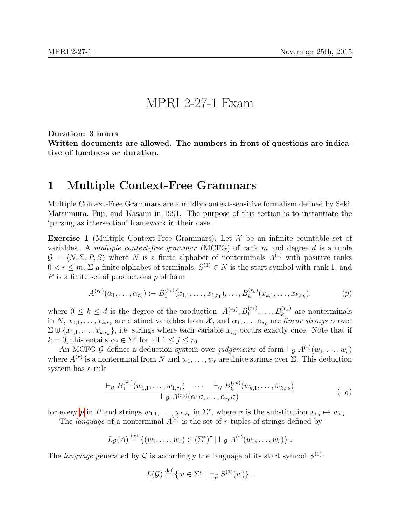## MPRI 2-27-1 Exam

Duration: 3 hours

Written documents are allowed. The numbers in front of questions are indicative of hardness or duration.

## 1 Multiple Context-Free Grammars

Multiple Context-Free Grammars are a mildly context-sensitive formalism defined by Seki, Matsumura, Fuji, and Kasami in 1991. The purpose of this section is to instantiate the 'parsing as intersection' framework in their case.

**Exercise 1** (Multiple Context-Free Grammars). Let  $\mathcal{X}$  be an infinite countable set of variables. A multiple context-free grammar (MCFG) of rank m and degree d is a tuple  $\mathcal{G} = \langle N, \Sigma, P, S \rangle$  where N is a finite alphabet of nonterminals  $A^{(r)}$  with positive ranks  $0 < r \leq m, \Sigma$  a finite alphabet of terminals,  $S^{(1)} \in N$  is the start symbol with rank 1, and  $P$  is a finite set of productions  $p$  of form

<span id="page-0-0"></span>
$$
A^{(r_0)}(\alpha_1,\ldots,\alpha_{r_0}) \coloneq B_1^{(r_1)}(x_{1,1},\ldots,x_{1,r_1}),\ldots,B_k^{(r_k)}(x_{k,1},\ldots,x_{k,r_k}). \tag{p}
$$

where  $0 \leq k \leq d$  is the degree of the production,  $A^{(r_0)}, B_1^{(r_1)}, \ldots, B_k^{(r_k)}$  are nonterminals in N,  $x_{1,1},...,x_{k,r_k}$  are distinct variables from X, and  $\alpha_1,...,\alpha_{r_0}$  are linear strings  $\alpha$  over  $\Sigma \uplus \{x_{1,1},\ldots,x_{k,r_k}\},$  i.e. strings where each variable  $x_{i,j}$  occurs exactly once. Note that if  $k = 0$ , this entails  $\alpha_j \in \Sigma^*$  for all  $1 \le j \le r_0$ .

An MCFG G defines a deduction system over judgements of form  $\vdash_{\mathcal{G}} A^{(r)}(w_1,\ldots,w_r)$ where  $A^{(r)}$  is a nonterminal from N and  $w_1, \ldots, w_r$  are finite strings over  $\Sigma$ . This deduction system has a rule

$$
\frac{\vdash_{\mathcal{G}} B_1^{(r_1)}(w_{1,1},\ldots,w_{1,r_1}) \cdots \vdash_{\mathcal{G}} B_k^{(r_k)}(w_{k,1},\ldots,w_{k,r_k})}{\vdash_{\mathcal{G}} A^{(r_0)}(\alpha_1\sigma,\ldots,\alpha_{r_0}\sigma)} \qquad (\vdash_{\mathcal{G}})
$$

for every [p](#page-0-0) in P and strings  $w_{1,1}, \ldots, w_{k,r_k}$  in  $\Sigma^*$ , where  $\sigma$  is the substitution  $x_{i,j} \mapsto w_{i,j}$ .

The *language* of a nonterminal  $A^{(r)}$  is the set of r-tuples of strings defined by

$$
L_{\mathcal{G}}(A) \stackrel{\text{def}}{=} \{ (w_1, \ldots, w_r) \in (\Sigma^*)^r \mid \vdash_{\mathcal{G}} A^{(r)}(w_1, \ldots, w_r) \}.
$$

The language generated by G is accordingly the language of its start symbol  $S^{(1)}$ :

$$
L(G) \stackrel{\text{def}}{=} \{w \in \Sigma^* \mid \vdash_{\mathcal{G}} S^{(1)}(w)\} .
$$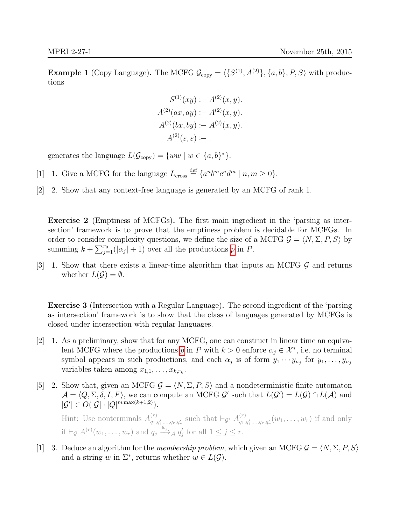**Example 1** (Copy Language). The MCFG  $\mathcal{G}_{\text{copy}} = \langle \{S^{(1)}, A^{(2)}\}, \{a, b\}, P, S \rangle$  with productions

$$
S^{(1)}(xy) := A^{(2)}(x, y).
$$
  
\n
$$
A^{(2)}(ax, ay) := A^{(2)}(x, y).
$$
  
\n
$$
A^{(2)}(bx, by) := A^{(2)}(x, y).
$$
  
\n
$$
A^{(2)}(\varepsilon, \varepsilon) := .
$$

generates the language  $L(\mathcal{G}_{\text{copy}}) = \{ww \mid w \in \{a, b\}^*\}.$ 

- [1] 1. Give a MCFG for the language  $L_{\text{cross}} \stackrel{\text{def}}{=} \{a^n b^m c^n d^m \mid n, m \ge 0\}.$
- [2] Show that any context-free language is generated by an MCFG of rank 1. 2.

Exercise 2 (Emptiness of MCFGs). The first main ingredient in the 'parsing as intersection' framework is to prove that the emptiness problem is decidable for MCFGs. In order to consider complexity questions, we define the size of a MCFG  $\mathcal{G} = \langle N, \Sigma, P, S \rangle$  by summing  $k + \sum_{j=1}^{r_0} (|\alpha_j| + 1)$  $k + \sum_{j=1}^{r_0} (|\alpha_j| + 1)$  $k + \sum_{j=1}^{r_0} (|\alpha_j| + 1)$  over all the productions p in P.

[3] 1. Show that there exists a linear-time algorithm that inputs an MCFG  $\mathcal G$  and returns whether  $L(\mathcal{G}) = \emptyset$ .

Exercise 3 (Intersection with a Regular Language). The second ingredient of the 'parsing as intersection' framework is to show that the class of languages generated by MCFGs is closed under intersection with regular languages.

- $[2]$  1. As a preliminary, show that for any MCFG, one can construct in linear time an equivalent MCFG where the [p](#page-0-0)roductions p in P with  $k > 0$  enforce  $\alpha_j \in \mathcal{X}^*$ , i.e. no terminal symbol appears in such productions, and each  $\alpha_j$  is of form  $y_1 \cdots y_{n_j}$  for  $y_1, \ldots, y_{n_j}$ variables taken among  $x_{1,1}, \ldots, x_{k,r_k}$ .
- [5] 2. Show that, given an MCFG  $\mathcal{G} = \langle N, \Sigma, P, S \rangle$  and a nondeterministic finite automaton  $\mathcal{A} = \langle Q, \Sigma, \delta, I, F \rangle$ , we can compute an MCFG  $\mathcal{G}'$  such that  $L(\mathcal{G}') = L(\mathcal{G}) \cap L(\mathcal{A})$  and  $|\mathcal{G}'| \in O(|\mathcal{G}| \cdot |Q|^{m \max(k+1,2)}).$ Hint: Use nonterminals  $A_{a}^{(r)}$  $_{q_1,q'_1,\ldots,q_r,q'_r}^{(r)}$  such that  $\vdash_{\mathcal{G}'} A_{q_1,q_2}^{(r)}$  $_{q_1, q'_1, ..., q_r, q'_r}(w_1, ..., w_r)$  if and only if  $\vdash_{\mathcal{G}} A^{(r)}(w_1,\ldots,w_r)$  and  $q_j \stackrel{\cdot w_j}{\longrightarrow}_A q'_j$  for all  $1 \leq j \leq r$ .
- [1] 3. Deduce an algorithm for the membership problem, which given an MCFG  $\mathcal{G} = \langle N, \Sigma, P, S \rangle$ and a string w in  $\Sigma^*$ , returns whether  $w \in L(\mathcal{G})$ .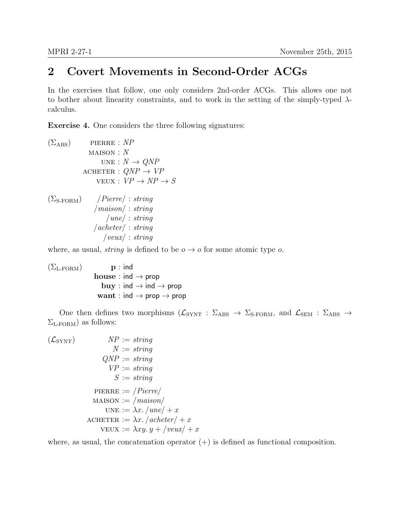## 2 Covert Movements in Second-Order ACGs

In the exercises that follow, one only considers 2nd-order ACGs. This allows one not to bother about linearity constraints, and to work in the setting of the simply-typed  $\lambda$ calculus.

Exercise 4. One considers the three following signatures:

```
(\Sigma_{\rm ABS}) pierre : NP
  MAISON : NUNE : N \rightarrow QNPACHETER : QNP \rightarrow VPVEUX: VP \rightarrow NP \rightarrow S(\Sigma_{\text{S-FORM}}) / Pierre/ : string
    /maison/ : string
        /une/ : string
    /acheter/ : string
       /veux/ : string
```
where, as usual, *string* is defined to be  $o \rightarrow o$  for some atomic type o.

 $(\Sigma_{\text{L-FORM}})$  p : ind house : ind  $\rightarrow$  prop buy : ind  $\rightarrow$  ind  $\rightarrow$  prop want : ind  $\rightarrow$  prop  $\rightarrow$  prop

One then defines two morphisms  $(\mathcal{L}_{SYNT} : \Sigma_{\text{ABS}} \to \Sigma_{\text{S-FORM}})$ , and  $\mathcal{L}_{\text{SEM}} : \Sigma_{\text{ABS}} \to$  $\Sigma_{\text{L-FORM}}$ ) as follows:

$$
(L_{\text{SYNT}}) \qquad NP := string
$$
\n
$$
N := string
$$
\n
$$
QNP := string
$$
\n
$$
VP := string
$$
\n
$$
S := string
$$
\n
$$
\text{PIERRE} := /Pierre / \text{MAISON} := / \text{maison} / \text{UNE} := \lambda x. / \text{une} / + x
$$
\n
$$
\text{ACHETER} := \lambda x. / \text{acheter} / + x
$$
\n
$$
\text{VEUX} := \lambda xy. y + / \text{veux} / + x
$$

where, as usual, the concatenation operator  $(+)$  is defined as functional composition.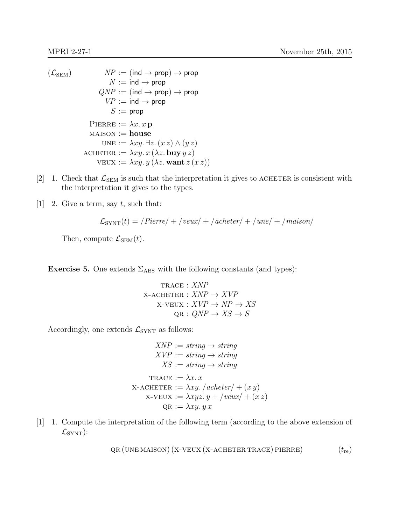```
(\mathcal{L}_{SEM}) NP := (ind \rightarrow prop) \rightarrow propN := \text{ind} \rightarrow \text{prop}QNP := (ind \rightarrow prop) \rightarrow propVP := \text{ind} \rightarrow \text{prop}S := \text{prop}PIERRE := \lambda x \cdot x pMAISON := houseUNE := \lambda xy. \exists z. (xz) \wedge (yz)ACHETER := \lambda xy. x (\lambda z. buy yz)vEUX := \lambda xy. y (\lambda z. want z(x z))
```
- [2] 1. Check that  $\mathcal{L}_{\text{SEM}}$  is such that the interpretation it gives to ACHETER is consistent with the interpretation it gives to the types.
- [1] 2. Give a term, say t, such that:

$$
\mathcal{L}_{\text{SYNT}}(t) = \text{/Pierre}/\text{+}\text{/veux}/\text{+}/\text{acheter}/\text{+}/\text{une}/\text{+}/\text{maison}/
$$

Then, compute  $\mathcal{L}_{\text{SEM}}(t)$ .

**Exercise 5.** One extends  $\Sigma_{\text{ABS}}$  with the following constants (and types):

trace : XNP  $X$ -ACHETER :  $XNP \rightarrow XVP$  $X-VEUX : XVP \rightarrow NP \rightarrow XS$  $QR: QNP \rightarrow KS \rightarrow S$ 

Accordingly, one extends  $\mathcal{L}_{\text{SYNT}}$  as follows:

 $XNP := string \rightarrow string$  $XVP := string \rightarrow string$  $XS := string \rightarrow string$ TRACE :=  $\lambda x$ . x  $x$ -ACHETER :=  $\lambda xy. /acheter/ + (xy)$  $x$ -veux :=  $\lambda xyz. y + /veux + (xz)$  $QR := \lambda xy. y x$ 

[1] 1. Compute the interpretation of the following term (according to the above extension of  $\mathcal{L}_{\text{SYNT}}$ :

$$
QR (UNE MAISON) (X-VEUX (X-ACHETER TRACE) PIERRE)
$$
 (t<sub>re</sub>)